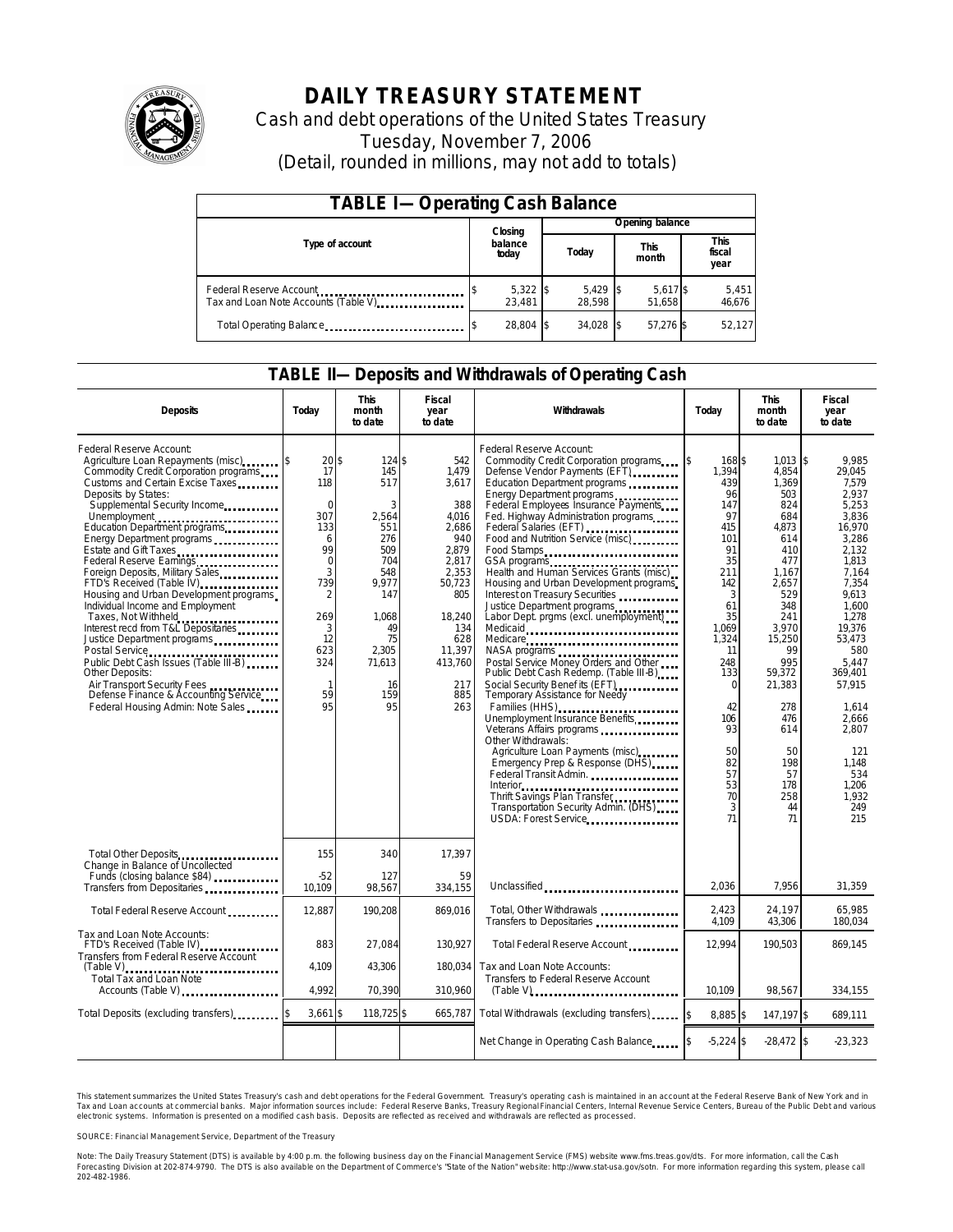

## **DAILY TREASURY STATEMENT**

Cash and debt operations of the United States Treasury Tuesday, November 7, 2006 (Detail, rounded in millions, may not add to totals)

| <b>TABLE I-Operating Cash Balance</b>                            |  |                    |  |                      |  |                      |  |                               |
|------------------------------------------------------------------|--|--------------------|--|----------------------|--|----------------------|--|-------------------------------|
|                                                                  |  | Closing            |  | Opening balance      |  |                      |  |                               |
| Type of account                                                  |  | balance<br>today   |  | Today                |  | <b>This</b><br>month |  | <b>This</b><br>fiscal<br>year |
| Federal Reserve Account<br>Tax and Loan Note Accounts (Table V). |  | 5,322 \$<br>23.481 |  | $5,429$ \$<br>28.598 |  | 5,617 \$<br>51.658   |  | 5,451<br>46,676               |
| Total Operating Balance                                          |  | 28.804 \$          |  | 34.028 \$            |  | 57.276 \$            |  | 52,127                        |

### **TABLE II—Deposits and Withdrawals of Operating Cash**

| <b>Deposits</b>                                                                                                                                                                                                                                                                                                                                                                                                                                                                                                                                                                                                                                                                                                                                                                                | Today                                                                                                                                                              | <b>This</b><br>month<br>to date                                                                                                                    | <b>Fiscal</b><br>year<br>to date                                                                                                                                    | Withdrawals                                                                                                                                                                                                                                                                                                                                                                                                                                                                                                                                                                                                                                                                                                                                                                                                                                                                                                                                                                 | <b>This</b><br>Todav<br>month<br>to date                                                                                                                                                                        |                                                                                                                                                                                                                                              | Fiscal<br>year<br>to date                                                                                                                                                                                                                                                        |
|------------------------------------------------------------------------------------------------------------------------------------------------------------------------------------------------------------------------------------------------------------------------------------------------------------------------------------------------------------------------------------------------------------------------------------------------------------------------------------------------------------------------------------------------------------------------------------------------------------------------------------------------------------------------------------------------------------------------------------------------------------------------------------------------|--------------------------------------------------------------------------------------------------------------------------------------------------------------------|----------------------------------------------------------------------------------------------------------------------------------------------------|---------------------------------------------------------------------------------------------------------------------------------------------------------------------|-----------------------------------------------------------------------------------------------------------------------------------------------------------------------------------------------------------------------------------------------------------------------------------------------------------------------------------------------------------------------------------------------------------------------------------------------------------------------------------------------------------------------------------------------------------------------------------------------------------------------------------------------------------------------------------------------------------------------------------------------------------------------------------------------------------------------------------------------------------------------------------------------------------------------------------------------------------------------------|-----------------------------------------------------------------------------------------------------------------------------------------------------------------------------------------------------------------|----------------------------------------------------------------------------------------------------------------------------------------------------------------------------------------------------------------------------------------------|----------------------------------------------------------------------------------------------------------------------------------------------------------------------------------------------------------------------------------------------------------------------------------|
| Federal Reserve Account:<br>Agriculture Loan Repayments (misc)<br>Commodity Credit Corporation programs<br>Customs and Certain Excise Taxes<br>Deposits by States:<br>Supplemental Security Income<br>Unemployment<br>Education Department programs<br>Energy Department programs<br>Estate and Gift Taxes<br>Federal Reserve Earnings<br>Foreign Deposits, Military Sales<br>FTD's Received (Table IV)<br>FTD's Received (Table IV)<br>Housing and Urban Development programs<br>Individual Income and Employment<br>Taxes, Not Withheld<br>Interest recd from T&L Depositaries<br>Justice Department programs<br>Public Debt Cash Issues (Table III-B)<br><b>Other Deposits:</b><br>Air Transport Security Fees<br>Defense Finance & Accounting Service<br>Federal Housing Admin: Note Sales | $20$ \$<br>17<br>118<br>$\Omega$<br>307<br>133<br>6<br>99<br>$\mathbf 0$<br>3<br>739<br>$\overline{2}$<br>269<br>3<br>12<br>623<br>324<br>$\mathbf{1}$<br>59<br>95 | $124$ \$<br>145<br>517<br>3<br>2,564<br>551<br>276<br>509<br>704<br>548<br>9.977<br>147<br>1,068<br>49<br>75<br>2,305<br>71,613<br>16<br>159<br>95 | 542<br>1,479<br>3,617<br>388<br>4.016<br>2.686<br>940<br>2,879<br>2,817<br>2,353<br>50,723<br>805<br>18,240<br>134<br>628<br>11,397<br>413,760<br>217<br>885<br>263 | Federal Reserve Account:<br>Commodity Credit Corporation programs<br>Defense Vendor Payments (EFT)<br>Education Department programs<br>Energy Department programs<br>Federal Employees Insurance Payments<br>Fed. Highway Administration programs<br>Food and Nutrition Service (misc)<br>Food Stamps<br>GSA programs<br>Health and Human Services Grants (misc).<br>Housing and Urban Development programs<br>Interest on Treasury Securities<br>Justice Department programs<br>Labor Dept. prgms (excl. unemployment)<br>Medicare<br>Postal Service Money Orders and Other<br>Public Debt Cash Redemp. (Table III-B)<br>Social Security Benef its (EFT)<br><br>Temporary Assistance for Needy<br>Families (HHS)<br>Unemployment Insurance Benefits<br>Other Withdrawals:<br>Agriculture Loan Payments (misc)<br>Emergency Prep & Response (DHS)<br>Federal Transit Admin.<br>Thrift Savings Plan Transfer<br>Transportation Security Admin. (DHS)<br>USDA: Forest Service | 168\$<br>1.394<br>439<br>96<br>147<br>97<br>415<br>101<br>91<br>35<br>211<br>142<br>3<br>61<br>35<br>1,069<br>1,324<br>11<br>248<br>133<br>$\Omega$<br>42<br>106<br>93<br>50<br>82<br>57<br>53<br>70<br>3<br>71 | $1,013$ \$<br>4,854<br>1,369<br>503<br>824<br>684<br>4.873<br>614<br>410<br>477<br>1,167<br>2,657<br>529<br>348<br>241<br>3,970<br>15,250<br>99<br>995<br>59,372<br>21,383<br>278<br>476<br>614<br>50<br>198<br>57<br>178<br>258<br>44<br>71 | 9.985<br>29.045<br>7.579<br>2.937<br>5,253<br>3.836<br>16.970<br>3,286<br>2.132<br>1.813<br>7.164<br>7,354<br>9.613<br>1.600<br>1,278<br>19,376<br>53.473<br>580<br>5.447<br>369.401<br>57,915<br>1,614<br>2,666<br>2.807<br>121<br>1,148<br>534<br>1,206<br>1.932<br>249<br>215 |
| Total Other Deposits<br>Change in Balance of Uncollected                                                                                                                                                                                                                                                                                                                                                                                                                                                                                                                                                                                                                                                                                                                                       | 155                                                                                                                                                                | 340                                                                                                                                                | 17,397                                                                                                                                                              |                                                                                                                                                                                                                                                                                                                                                                                                                                                                                                                                                                                                                                                                                                                                                                                                                                                                                                                                                                             |                                                                                                                                                                                                                 |                                                                                                                                                                                                                                              |                                                                                                                                                                                                                                                                                  |
| Funds (closing balance \$84)<br>Transfers from Depositaries                                                                                                                                                                                                                                                                                                                                                                                                                                                                                                                                                                                                                                                                                                                                    | $-52$<br>10.109                                                                                                                                                    | 127<br>98,567                                                                                                                                      | 59<br>334.155                                                                                                                                                       | Unclassified                                                                                                                                                                                                                                                                                                                                                                                                                                                                                                                                                                                                                                                                                                                                                                                                                                                                                                                                                                | 2.036                                                                                                                                                                                                           | 7.956                                                                                                                                                                                                                                        | 31,359                                                                                                                                                                                                                                                                           |
| Total Federal Reserve Account                                                                                                                                                                                                                                                                                                                                                                                                                                                                                                                                                                                                                                                                                                                                                                  | 12.887                                                                                                                                                             | 190.208                                                                                                                                            | 869.016                                                                                                                                                             | Total, Other Withdrawals<br>Transfers to Depositaries                                                                                                                                                                                                                                                                                                                                                                                                                                                                                                                                                                                                                                                                                                                                                                                                                                                                                                                       | 2,423<br>4.109                                                                                                                                                                                                  | 24,197<br>43,306                                                                                                                                                                                                                             | 65,985<br>180,034                                                                                                                                                                                                                                                                |
| Tax and Loan Note Accounts:<br>FTD's Received (Table IV)<br>Transfers from Federal Reserve Account                                                                                                                                                                                                                                                                                                                                                                                                                                                                                                                                                                                                                                                                                             | 883                                                                                                                                                                | 27,084                                                                                                                                             | 130,927                                                                                                                                                             | Total Federal Reserve Account                                                                                                                                                                                                                                                                                                                                                                                                                                                                                                                                                                                                                                                                                                                                                                                                                                                                                                                                               | 12.994                                                                                                                                                                                                          | 190,503                                                                                                                                                                                                                                      | 869,145                                                                                                                                                                                                                                                                          |
| Total Tax and Loan Note<br>Accounts (Table V)                                                                                                                                                                                                                                                                                                                                                                                                                                                                                                                                                                                                                                                                                                                                                  | 4.109<br>4.992                                                                                                                                                     | 43,306<br>70,390                                                                                                                                   | 180.034<br>310,960                                                                                                                                                  | Tax and Loan Note Accounts:<br>Transfers to Federal Reserve Account<br>$(Table V)$                                                                                                                                                                                                                                                                                                                                                                                                                                                                                                                                                                                                                                                                                                                                                                                                                                                                                          | 10,109                                                                                                                                                                                                          | 98,567                                                                                                                                                                                                                                       | 334,155                                                                                                                                                                                                                                                                          |
| Total Deposits (excluding transfers)                                                                                                                                                                                                                                                                                                                                                                                                                                                                                                                                                                                                                                                                                                                                                           | $3,661$ \$                                                                                                                                                         | 118,725 \$                                                                                                                                         | 665,787                                                                                                                                                             | Total Withdrawals (excluding transfers)                                                                                                                                                                                                                                                                                                                                                                                                                                                                                                                                                                                                                                                                                                                                                                                                                                                                                                                                     | 8.885 \$<br><sup>\$</sup>                                                                                                                                                                                       | 147.197 \$                                                                                                                                                                                                                                   | 689.111                                                                                                                                                                                                                                                                          |
|                                                                                                                                                                                                                                                                                                                                                                                                                                                                                                                                                                                                                                                                                                                                                                                                |                                                                                                                                                                    |                                                                                                                                                    |                                                                                                                                                                     | Net Change in Operating Cash Balance                                                                                                                                                                                                                                                                                                                                                                                                                                                                                                                                                                                                                                                                                                                                                                                                                                                                                                                                        | $-5,224$ \$                                                                                                                                                                                                     | $-28,472$ \$                                                                                                                                                                                                                                 | $-23,323$                                                                                                                                                                                                                                                                        |

This statement summarizes the United States Treasury's cash and debt operations for the Federal Government. Treasury's operating cash is maintained in an account at the Federal Reserve Bank of New York and in Tax and Loan accounts at commercial banks. Major information sources include: Federal Reserve Banks, Treasury Regional Financial Centers, Internal Revenue Service Centers, Bureau of the Public Debt and various<br>electronic s

SOURCE: Financial Management Service, Department of the Treasury

Note: The Daily Treasury Statement (DTS) is available by 4:00 p.m. the following business day on the Financial Management Service (FMS) website www.fms.treas.gov/dts. For more information, call the Cash<br>Forecasting Divisio 'S) is available by 4:00 p.m. the following business day on the Financial Management Service (FMS) website www.fms.treas.gov/dts. For more information, call the Cash<br>The DTS is also available on the Department of Commerce'